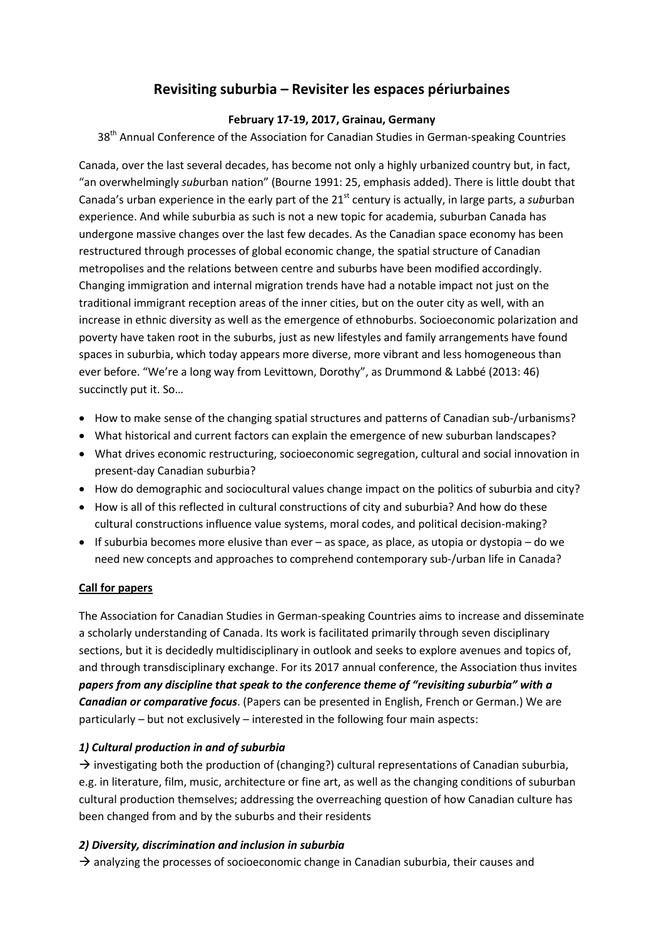# **Revisiting suburbia – Revisiter les espaces périurbaines**

#### **February 17-19, 2017, Grainau, Germany**

38<sup>th</sup> Annual Conference of the Association for Canadian Studies in German-speaking Countries

Canada, over the last several decades, has become not only a highly urbanized country but, in fact, "an overwhelmingly *sub*urban nation" (Bourne 1991: 25, emphasis added). There is little doubt that Canada's urban experience in the early part of the 21<sup>st</sup> century is actually, in large parts, a *sub*urban experience. And while suburbia as such is not a new topic for academia, suburban Canada has undergone massive changes over the last few decades. As the Canadian space economy has been restructured through processes of global economic change, the spatial structure of Canadian metropolises and the relations between centre and suburbs have been modified accordingly. Changing immigration and internal migration trends have had a notable impact not just on the traditional immigrant reception areas of the inner cities, but on the outer city as well, with an increase in ethnic diversity as well as the emergence of ethnoburbs. Socioeconomic polarization and poverty have taken root in the suburbs, just as new lifestyles and family arrangements have found spaces in suburbia, which today appears more diverse, more vibrant and less homogeneous than ever before. "We're a long way from Levittown, Dorothy", as Drummond & Labbé (2013: 46) succinctly put it. So…

- How to make sense of the changing spatial structures and patterns of Canadian sub-/urbanisms?
- What historical and current factors can explain the emergence of new suburban landscapes?
- What drives economic restructuring, socioeconomic segregation, cultural and social innovation in present-day Canadian suburbia?
- How do demographic and sociocultural values change impact on the politics of suburbia and city?
- How is all of this reflected in cultural constructions of city and suburbia? And how do these cultural constructions influence value systems, moral codes, and political decision-making?
- $\bullet$  If suburbia becomes more elusive than ever as space, as place, as utopia or dystopia do we need new concepts and approaches to comprehend contemporary sub-/urban life in Canada?

#### **Call for papers**

The Association for Canadian Studies in German-speaking Countries aims to increase and disseminate a scholarly understanding of Canada. Its work is facilitated primarily through seven disciplinary sections, but it is decidedly multidisciplinary in outlook and seeks to explore avenues and topics of, and through transdisciplinary exchange. For its 2017 annual conference, the Association thus invites *papers from any discipline that speak to the conference theme of "revisiting suburbia" with a Canadian or comparative focus*. (Papers can be presented in English, French or German.) We are particularly – but not exclusively – interested in the following four main aspects:

#### *1) Cultural production in and of suburbia*

 $\rightarrow$  investigating both the production of (changing?) cultural representations of Canadian suburbia, e.g. in literature, film, music, architecture or fine art, as well as the changing conditions of suburban cultural production themselves; addressing the overreaching question of how Canadian culture has been changed from and by the suburbs and their residents

#### *2) Diversity, discrimination and inclusion in suburbia*

 $\rightarrow$  analyzing the processes of socioeconomic change in Canadian suburbia, their causes and